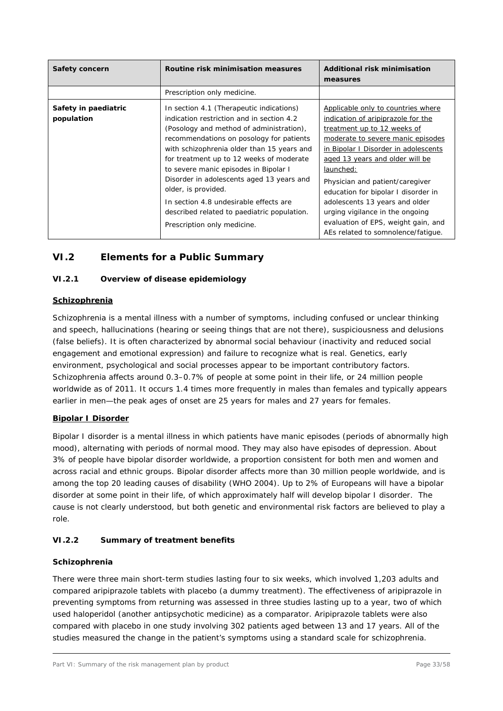# **VI.2 Elements for a Public Summary**

## **VI.2.1 Overview of disease epidemiology**

#### **Schizophrenia**

Schizophrenia is a mental illness with a number of symptoms, including confused or unclear thinking and speech, hallucinations (hearing or seeing things that are not there), suspiciousness and delusions (false beliefs). It is often characterized by abnormal social behaviour (inactivity and reduced social engagement and emotional expression) and failure to recognize what is real. Genetics, early environment, psychological and social processes appear to be important contributory factors. Schizophrenia affects around 0.3–0.7% of people at some point in their life, or 24 million people worldwide as of 2011. It occurs 1.4 times more frequently in males than females and typically appears earlier in men—the peak ages of onset are 25 years for males and 27 years for females.

#### **Bipolar I Disorder**

Bipolar I disorder is a mental illness in which patients have manic episodes (periods of abnormally high mood), alternating with periods of normal mood. They may also have episodes of depression. About 3% of people have bipolar disorder worldwide, a proportion consistent for both men and women and across racial and ethnic groups. Bipolar disorder affects more than 30 million people worldwide, and is among the top 20 leading causes of disability (WHO 2004). Up to 2% of Europeans will have a bipolar disorder at some point in their life, of which approximately half will develop bipolar I disorder. The cause is not clearly understood, but both genetic and environmental risk factors are believed to play a role.

# **VI.2.2 Summary of treatment benefits**

#### **Schizophrenia**

There were three main short-term studies lasting four to six weeks, which involved 1,203 adults and compared aripiprazole tablets with placebo (a dummy treatment). The effectiveness of aripiprazole in preventing symptoms from returning was assessed in three studies lasting up to a year, two of which used haloperidol (another antipsychotic medicine) as a comparator. Aripiprazole tablets were also compared with placebo in one study involving 302 patients aged between 13 and 17 years. All of the studies measured the change in the patient's symptoms using a standard scale for schizophrenia.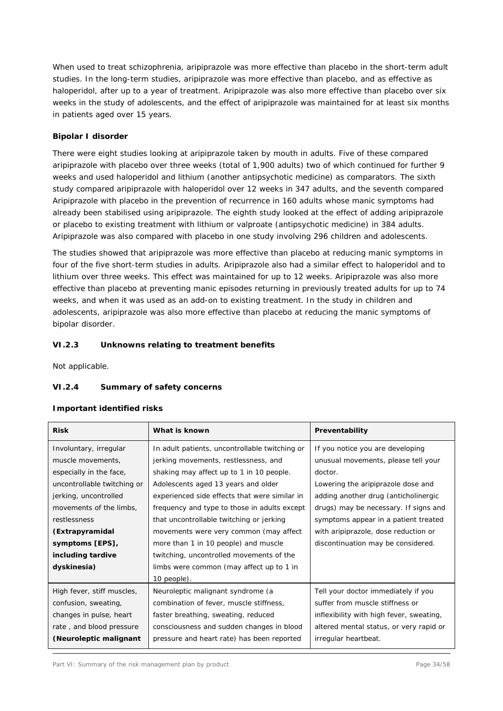When used to treat schizophrenia, aripiprazole was more effective than placebo in the short-term adult studies. In the long-term studies, aripiprazole was more effective than placebo, and as effective as haloperidol, after up to a year of treatment. Aripiprazole was also more effective than placebo over six weeks in the study of adolescents, and the effect of aripiprazole was maintained for at least six months in patients aged over 15 years.

# **Bipolar I disorder**

There were eight studies looking at aripiprazole taken by mouth in adults. Five of these compared aripiprazole with placebo over three weeks (total of 1,900 adults) two of which continued for further 9 weeks and used haloperidol and lithium (another antipsychotic medicine) as comparators. The sixth study compared aripiprazole with haloperidol over 12 weeks in 347 adults, and the seventh compared Aripiprazole with placebo in the prevention of recurrence in 160 adults whose manic symptoms had already been stabilised using aripiprazole. The eighth study looked at the effect of adding aripiprazole or placebo to existing treatment with lithium or valproate (antipsychotic medicine) in 384 adults. Aripiprazole was also compared with placebo in one study involving 296 children and adolescents.

The studies showed that aripiprazole was more effective than placebo at reducing manic symptoms in four of the five short-term studies in adults. Aripiprazole also had a similar effect to haloperidol and to lithium over three weeks. This effect was maintained for up to 12 weeks. Aripiprazole was also more effective than placebo at preventing manic episodes returning in previously treated adults for up to 74 weeks, and when it was used as an add-on to existing treatment. In the study in children and adolescents, aripiprazole was also more effective than placebo at reducing the manic symptoms of bipolar disorder.

# **VI.2.3 Unknowns relating to treatment benefits**

Not applicable.

#### **VI.2.4 Summary of safety concerns**

#### **Important identified risks**

| <b>Risk</b>                 | What is known                                  | Preventability                           |
|-----------------------------|------------------------------------------------|------------------------------------------|
| Involuntary, irregular      | In adult patients, uncontrollable twitching or | If you notice you are developing         |
| muscle movements,           | jerking movements, restlessness, and           | unusual movements, please tell your      |
| especially in the face,     | shaking may affect up to 1 in 10 people.       | doctor.                                  |
| uncontrollable twitching or | Adolescents aged 13 years and older            | Lowering the aripiprazole dose and       |
| jerking, uncontrolled       | experienced side effects that were similar in  | adding another drug (anticholinergic     |
| movements of the limbs,     | frequency and type to those in adults except   | drugs) may be necessary. If signs and    |
| restlessness                | that uncontrollable twitching or jerking       | symptoms appear in a patient treated     |
| (Extrapyramidal             | movements were very common (may affect         | with aripiprazole, dose reduction or     |
| symptoms [EPS],             | more than 1 in 10 people) and muscle           | discontinuation may be considered.       |
| including tardive           | twitching, uncontrolled movements of the       |                                          |
| dyskinesia)                 | limbs were common (may affect up to 1 in       |                                          |
|                             | 10 people).                                    |                                          |
| High fever, stiff muscles,  | Neuroleptic malignant syndrome (a              | Tell your doctor immediately if you      |
| confusion, sweating,        | combination of fever, muscle stiffness,        | suffer from muscle stiffness or          |
| changes in pulse, heart     | faster breathing, sweating, reduced            | inflexibility with high fever, sweating, |
| rate, and blood pressure    | consciousness and sudden changes in blood      | altered mental status, or very rapid or  |
| (Neuroleptic malignant      | pressure and heart rate) has been reported     | irregular heartbeat.                     |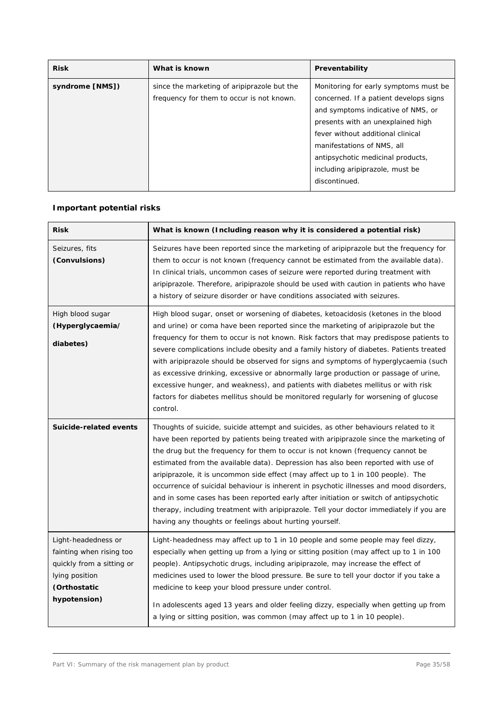| <b>Risk</b>     | What is known                                                                            | Preventability                                                                                                                                                                                                                                                                                                          |
|-----------------|------------------------------------------------------------------------------------------|-------------------------------------------------------------------------------------------------------------------------------------------------------------------------------------------------------------------------------------------------------------------------------------------------------------------------|
| syndrome [NMS]) | since the marketing of aripiprazole but the<br>frequency for them to occur is not known. | Monitoring for early symptoms must be.<br>concerned. If a patient develops signs<br>and symptoms indicative of NMS, or<br>presents with an unexplained high<br>fever without additional clinical<br>manifestations of NMS, all<br>antipsychotic medicinal products,<br>including aripiprazole, must be<br>discontinued. |

# **Important potential risks**

| <b>Risk</b>                                                                                                                    | What is known (Including reason why it is considered a potential risk)                                                                                                                                                                                                                                                                                                                                                                                                                                                                                                                                                                                                                                                                                                             |
|--------------------------------------------------------------------------------------------------------------------------------|------------------------------------------------------------------------------------------------------------------------------------------------------------------------------------------------------------------------------------------------------------------------------------------------------------------------------------------------------------------------------------------------------------------------------------------------------------------------------------------------------------------------------------------------------------------------------------------------------------------------------------------------------------------------------------------------------------------------------------------------------------------------------------|
| Seizures, fits<br>(Convulsions)                                                                                                | Seizures have been reported since the marketing of aripiprazole but the frequency for<br>them to occur is not known (frequency cannot be estimated from the available data).<br>In clinical trials, uncommon cases of seizure were reported during treatment with<br>aripiprazole. Therefore, aripiprazole should be used with caution in patients who have<br>a history of seizure disorder or have conditions associated with seizures.                                                                                                                                                                                                                                                                                                                                          |
| High blood sugar<br>(Hyperglycaemia/<br>diabetes)                                                                              | High blood sugar, onset or worsening of diabetes, ketoacidosis (ketones in the blood<br>and urine) or coma have been reported since the marketing of aripiprazole but the<br>frequency for them to occur is not known. Risk factors that may predispose patients to<br>severe complications include obesity and a family history of diabetes. Patients treated<br>with aripiprazole should be observed for signs and symptoms of hyperglycaemia (such<br>as excessive drinking, excessive or abnormally large production or passage of urine,<br>excessive hunger, and weakness), and patients with diabetes mellitus or with risk<br>factors for diabetes mellitus should be monitored regularly for worsening of glucose<br>control.                                             |
| Suicide-related events                                                                                                         | Thoughts of suicide, suicide attempt and suicides, as other behaviours related to it<br>have been reported by patients being treated with aripiprazole since the marketing of<br>the drug but the frequency for them to occur is not known (frequency cannot be<br>estimated from the available data). Depression has also been reported with use of<br>aripiprazole, it is uncommon side effect (may affect up to 1 in 100 people). The<br>occurrence of suicidal behaviour is inherent in psychotic illnesses and mood disorders,<br>and in some cases has been reported early after initiation or switch of antipsychotic<br>therapy, including treatment with aripiprazole. Tell your doctor immediately if you are<br>having any thoughts or feelings about hurting yourself. |
| Light-headedness or<br>fainting when rising too<br>quickly from a sitting or<br>lying position<br>(Orthostatic<br>hypotension) | Light-headedness may affect up to 1 in 10 people and some people may feel dizzy,<br>especially when getting up from a lying or sitting position (may affect up to 1 in 100<br>people). Antipsychotic drugs, including aripiprazole, may increase the effect of<br>medicines used to lower the blood pressure. Be sure to tell your doctor if you take a<br>medicine to keep your blood pressure under control.<br>In adolescents aged 13 years and older feeling dizzy, especially when getting up from<br>a lying or sitting position, was common (may affect up to 1 in 10 people).                                                                                                                                                                                              |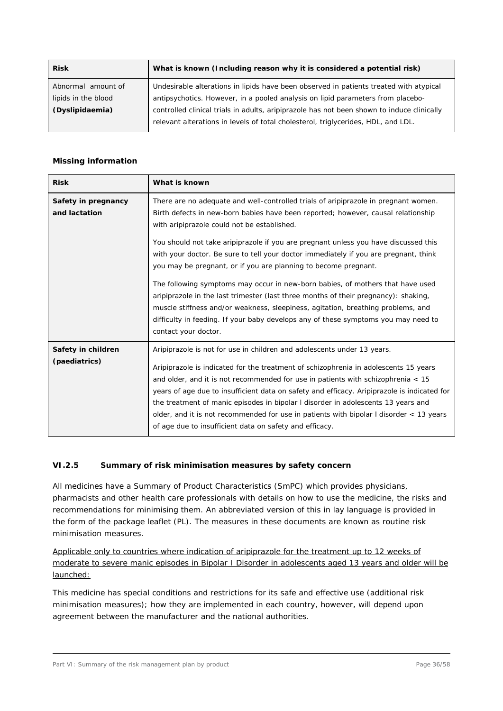| What is known (Including reason why it is considered a potential risk)                     |
|--------------------------------------------------------------------------------------------|
| Undesirable alterations in lipids have been observed in patients treated with atypical     |
| antipsychotics. However, in a pooled analysis on lipid parameters from placebo-            |
| controlled clinical trials in adults, aripiprazole has not been shown to induce clinically |
| relevant alterations in levels of total cholesterol, triglycerides, HDL, and LDL.          |
|                                                                                            |

# **Missing information**

| <b>Risk</b>                          | What is known                                                                                                                                                                                                                                                                                                                                                                                                                                                                                                                                                                                                                                                                                                                                                                                                                |
|--------------------------------------|------------------------------------------------------------------------------------------------------------------------------------------------------------------------------------------------------------------------------------------------------------------------------------------------------------------------------------------------------------------------------------------------------------------------------------------------------------------------------------------------------------------------------------------------------------------------------------------------------------------------------------------------------------------------------------------------------------------------------------------------------------------------------------------------------------------------------|
| Safety in pregnancy<br>and lactation | There are no adequate and well-controlled trials of aripiprazole in pregnant women.<br>Birth defects in new-born babies have been reported; however, causal relationship<br>with aripiprazole could not be established.<br>You should not take aripiprazole if you are pregnant unless you have discussed this<br>with your doctor. Be sure to tell your doctor immediately if you are pregnant, think<br>you may be pregnant, or if you are planning to become pregnant.<br>The following symptoms may occur in new-born babies, of mothers that have used<br>aripiprazole in the last trimester (last three months of their pregnancy): shaking,<br>muscle stiffness and/or weakness, sleepiness, agitation, breathing problems, and<br>difficulty in feeding. If your baby develops any of these symptoms you may need to |
|                                      | contact your doctor.                                                                                                                                                                                                                                                                                                                                                                                                                                                                                                                                                                                                                                                                                                                                                                                                         |
| Safety in children<br>(paediatrics)  | Aripiprazole is not for use in children and adolescents under 13 years.<br>Aripiprazole is indicated for the treatment of schizophrenia in adolescents 15 years<br>and older, and it is not recommended for use in patients with schizophrenia $<$ 15<br>years of age due to insufficient data on safety and efficacy. Aripiprazole is indicated for<br>the treatment of manic episodes in bipolar I disorder in adolescents 13 years and<br>older, and it is not recommended for use in patients with bipolar I disorder $\lt$ 13 years<br>of age due to insufficient data on safety and efficacy.                                                                                                                                                                                                                          |

# **VI.2.5 Summary of risk minimisation measures by safety concern**

All medicines have a Summary of Product Characteristics (SmPC) which provides physicians, pharmacists and other health care professionals with details on how to use the medicine, the risks and recommendations for minimising them. An abbreviated version of this in lay language is provided in the form of the package leaflet (PL). The measures in these documents are known as routine risk minimisation measures.

Applicable only to countries where indication of aripiprazole for the treatment up to 12 weeks of moderate to severe manic episodes in Bipolar I Disorder in adolescents aged 13 years and older will be launched:

This medicine has special conditions and restrictions for its safe and effective use (additional risk minimisation measures); how they are implemented in each country, however, will depend upon agreement between the manufacturer and the national authorities.